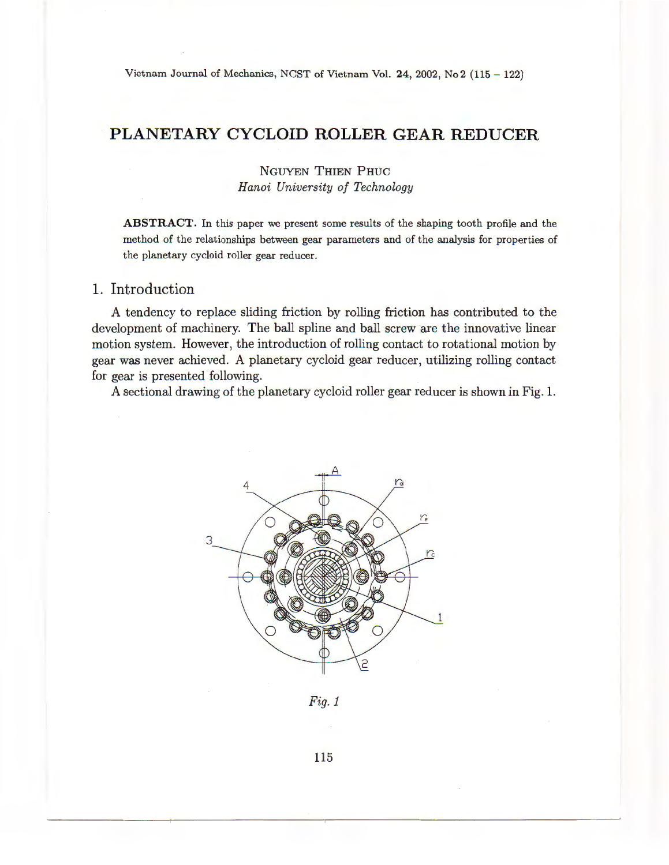Vietnam Journal of Mechanics, NCST of Vietnam Vol. 24, 2002, No 2 (115 - 122)

# **PLANETARY CYCLOID ROLLER GEAR REDUCER**

NGUYEN THIEN PHUC *Hanoi University of Technology* 

**ABSTRACT.** In this paper we present some results of the shaping tooth profile and the method of the relationships between gear parameters and of the analysis for properties of the planetary cycloid roller gear reducer.

# **1.** Introduction

A tendency to replace sliding friction by rolling friction has contributed to the development of machinery. The ball spline and ball screw are the innovative linear motion system. However, the introduction of rolling contact to rotational motion by gear was never achieved. A planetary cycloid gear reducer, utilizing rolling contact for gear is presented following.

A sectional drawing of the planetary cycloid roller gear reducer is shown in Fig. **1.** 



*Fig.1* 

115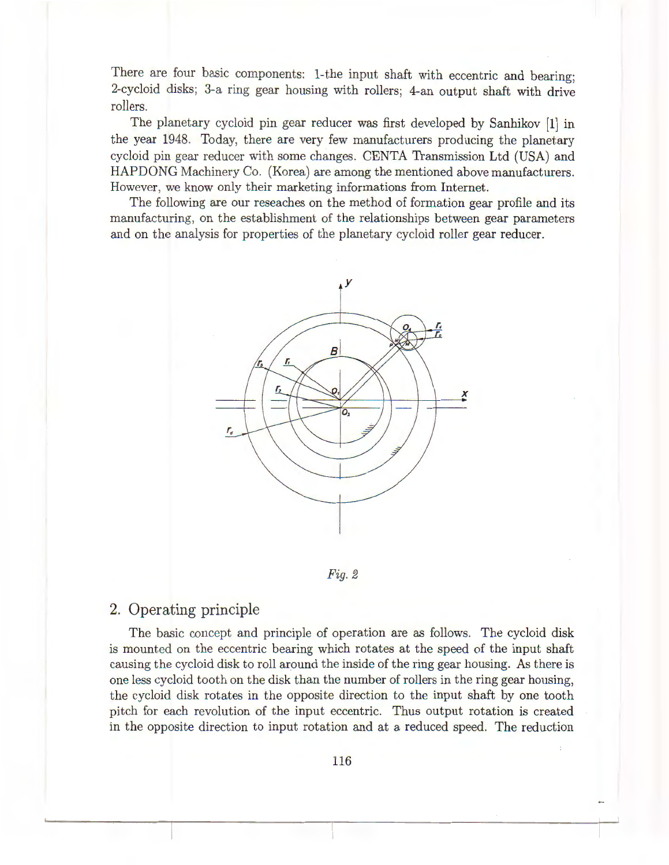There are four basic components: 1-the input shaft with eccentric and bearing; 2-cycloid disks; 3-a ring gear housing with rollers; 4-an output shaft with drive rollers.

The planetary cycloid pin gear reducer was first developed by Sanhikov [1] in the year 1948. Today, there are very few manufacturers producing the planetary cycloid pin gear reducer with some changes. CENTA Transmission Ltd (USA) and HAPDONG Machinery Co. (Korea) are among the mentioned above manufacturers. However, we know only their marketing informations from Internet.

The following are our reseaches on the method of formation gear profile and its manufacturing, on the establishment of the relationships between gear parameters and on the analysis for properties of the planetary cycloid roller gear reducer.



*Fig. 2* 

# 2. Operating principle

The basic concept and principle of operation are *as* follows. The cycloid disk is mounted on the eccentric bearing which rotates at the speed of the input shaft causing the cycloid disk to roll around the inside of the ring gear housing. As there is one less cycloid tooth on the disk than the number of rollers in the ring gear housing, the cycloid disk rotates in the opposite direction to the input shaft by one tooth pitch for each revolution of the input eccentric. Thus output rotation is created in the opposite direction to input rotation and at a reduced speed. The reduction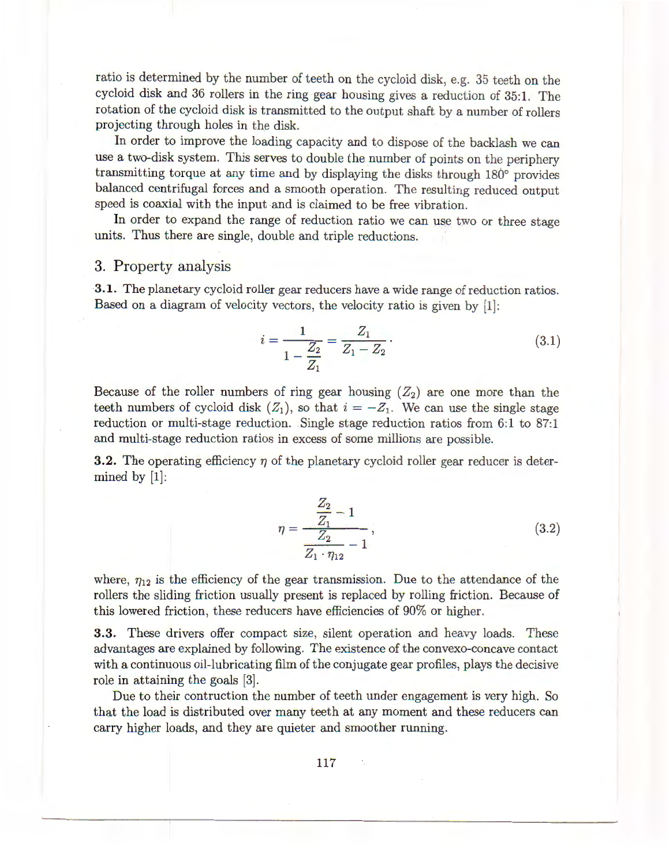ratio is determined by the number of teeth on the cycloid disk, e.g. 35 teeth on the cycloid disk and 36 rollers in the ring gear housing gives a reduction of 35:1. The rotation of the cycloid disk is transmitted to the output shaft by a number of rollers projecting through holes in the disk.

In order to improve the loading capacity and to dispose of the backlash we can use a two-disk system. This serves to double the number of points on the periphery transmitting torque at any time and by displaying the disks through 180° provides balanced centrifugal forces and a smooth operation. The resulting reduced output speed is coaxial with the input and is claimed to be free vibration.

In order to expand the range of reduction ratio we can use two or three stage units. Thus there are single, double and triple reductions.

### 3. Property analysis

3.1. The planetary cycloid roller gear reducers have a wide range of reduction ratios. Based on a diagram of velocity vectors, the velocity ratio is given by [1]:

$$
i = \frac{1}{1 - \frac{Z_2}{Z_1}} = \frac{Z_1}{Z_1 - Z_2}.
$$
\n(3.1)

Because of the roller numbers of ring gear housing  $(Z_2)$  are one more than the teeth numbers of cycloid disk  $(Z_1)$ , so that  $i = -Z_1$ . We can use the single stage reduction or multi-stage reduction. Single stage reduction ratios from 6:1 to 87:1 and multi-stage reduction ratios in excess of some millions are possible.

**3.2.** The operating efficiency  $\eta$  of the planetary cycloid roller gear reducer is determined by [1]:

$$
\eta = \frac{\frac{Z_2}{Z_1} - 1}{\frac{Z_2}{Z_1 \cdot \eta_{12}} - 1},\tag{3.2}
$$

where,  $\eta_{12}$  is the efficiency of the gear transmission. Due to the attendance of the rollers the sliding friction usually present is replaced by rolling friction. Because of this lowered friction, these reducers have efficiencies of 90% or higher.

3.3. These drivers offer compact size, silent operation and heavy loads. These advantages are explained by following. The existence of the convexo-concave contact with a continuous oil-lubricating film of the conjugate gear profiles, plays the decisive role in attaining the goals [3].

Due to their contruction the number of teeth under engagement is very high. So that the load is distributed over many teeth at any moment and these reducers can carry higher loads, and they are quieter and smoother running.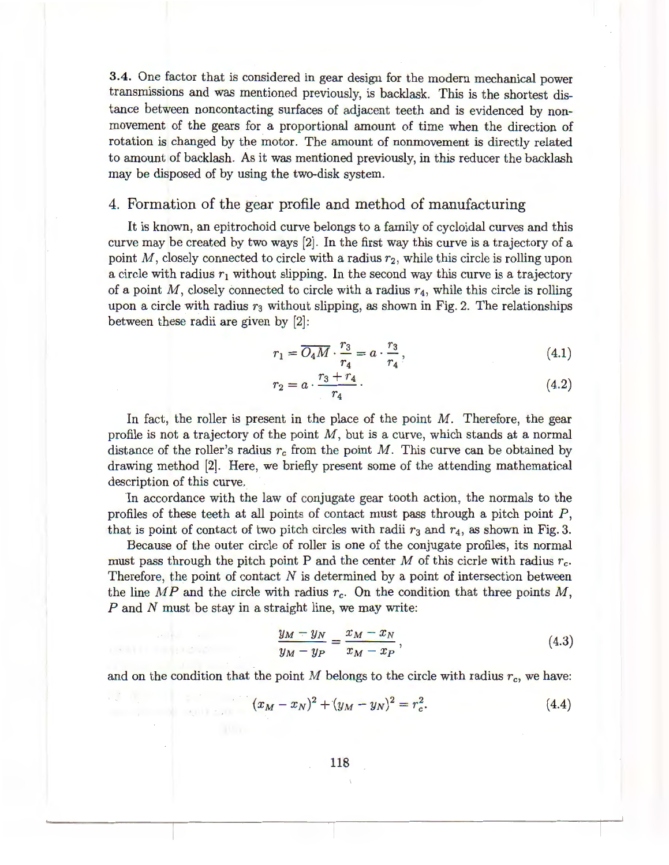3.4. One factor that is considered in gear design for the modern mechanical power transmissions and was mentioned previously, is backlask. This is the shortest distance between noncontacting surfaces of adjacent teeth and is evidenced by nonmovement of the gears for a proportional amount of time when the direction of rotation is changed by the motor. The amount of nonmovement is directly related to amount of backlash. As it was mentioned previously, in this reducer the backlash may be disposed of by using the two-disk system.

### 4. Formation of the gear profile and method of manufacturing

It is known, an epitrochoid curve belongs to a family of cycloidal curves and this curve may be created by two ways [2] . In the first way this curve is a trajectory of a point M, closely connected to circle with a radius  $r_2$ , while this circle is rolling upon a circle with radius  $r_1$  without slipping. In the second way this curve is a trajectory of a point *M,* closely connected to circle with a radius *r*4, while this circle is rolling upon a circle with radius  $r_3$  without slipping, as shown in Fig. 2. The relationships between these radii are given by [2]:

by [2]:  
\n
$$
r_1 = \overline{O_4 M} \cdot \frac{r_3}{r_4} = a \cdot \frac{r_3}{r_4},
$$
\n(4.1)

$$
r_2 = a \cdot \frac{r_3 + r_4}{r_4} \,. \tag{4.2}
$$

In fact, the roller is present in the place of the point *M.* Therefore, the gear profile is not a trajectory of the point *M ,* but is a curve, which stands at a normal distance of the roller's radius  $r_c$  from the point M. This curve can be obtained by drawing method [2]. Here, we briefly present some of the attending mathematical description of this curve.

In accordance with the law of conjugate gear tooth action, the normals to the profiles of these teeth at all points of contact must pass through a pitch point  $P$ , that is point of contact of two pitch circles with radii  $r_3$  and  $r_4$ , as shown in Fig. 3.

Because of the outer circle of roller is one of the conjugate profiles, its normal must pass through the pitch point P and the center M of this cicrle with radius  $r_c$ . Therefore, the point of contact  $N$  is determined by a point of intersection between the line  $MP$  and the circle with radius  $r_c$ . On the condition that three points  $M$ , *P* and *N* must be stay in a straight line, we may write:

$$
\frac{y_M - y_N}{y_M - y_P} = \frac{x_M - x_N}{x_M - x_P},
$$
\n(4.3)

and on the condition that the point  $M$  belongs to the circle with radius  $r_c$ , we have:

and Microsoft Co.

$$
(x_M - x_N)^2 + (y_M - y_N)^2 = r_c^2.
$$
 (4.4)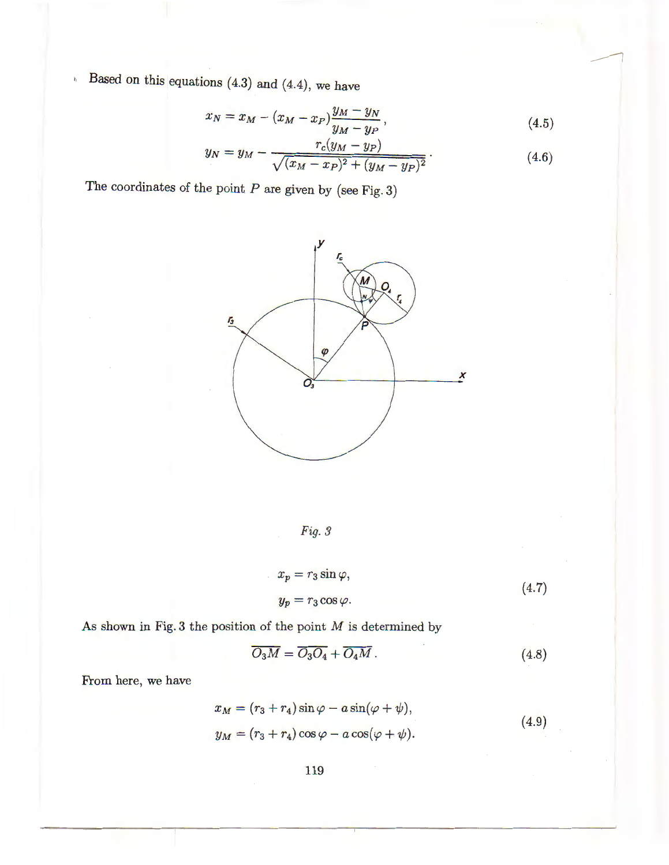$h$  Based on this equations (4.3) and (4.4), we have

$$
x_N = x_M - (x_M - x_P) \frac{y_M - y_N}{y_M - y_P},
$$
\n(4.5)

$$
y_N = y_M - \frac{r_c(y_M - y_P)}{\sqrt{(x_M - x_P)^2 + (y_M - y_P)^2}}.
$$
\n(4.6)

The coordinates of the point  $P$  are given by (see Fig. 3)



Fig. 3

$$
x_p = r_3 \sin \varphi,
$$
  
\n
$$
y_p = r_3 \cos \varphi.
$$
\n(4.7)

As shown in Fig. 3 the position of the point  $M$  is determined by

$$
\overline{O_3M} = \overline{O_3O_4} + \overline{O_4M} \,. \tag{4.8}
$$

From here, we have

$$
x_M = (r_3 + r_4) \sin \varphi - a \sin(\varphi + \psi),
$$
  
\n
$$
y_M = (r_3 + r_4) \cos \varphi - a \cos(\varphi + \psi).
$$
\n(4.9)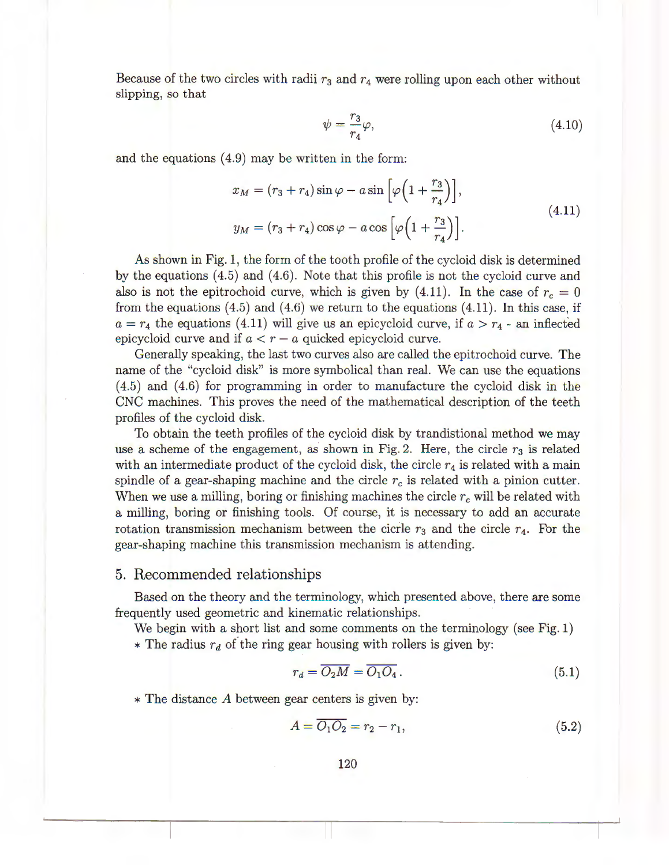Because of the two circles with radii  $r_3$  and  $r_4$  were rolling upon each other without slipping, so that

$$
\psi = \frac{r_3}{r_4} \varphi,\tag{4.10}
$$

and the equations  $(4.9)$  may be written in the form:

$$
x_M = (r_3 + r_4)\sin\varphi - a\sin\left[\varphi\left(1 + \frac{r_3}{r_4}\right)\right],
$$
  

$$
y_M = (r_3 + r_4)\cos\varphi - a\cos\left[\varphi\left(1 + \frac{r_3}{r_4}\right)\right].
$$
 (4.11)

As shown in Fig. 1, the form of the tooth profile of the cycloid disk is determined by the equations (4.5) and (4.6). Note that this profile is not the cycloid curve and also is not the epitrochoid curve, which is given by  $(4.11)$ . In the case of  $r_c = 0$ from the equations  $(4.5)$  and  $(4.6)$  we return to the equations  $(4.11)$ . In this case, if  $a = r_4$  the equations (4.11) will give us an epicycloid curve, if  $a > r_4$  - an inflected epicycloid curve and if  $a < r - a$  quicked epicycloid curve.

Generally speaking, the last two curves also are called the epitrochoid curve. The name of the "cycloid disk" is more symbolical than real. We can use the equations ( 4.5) and ( 4.6) for programming in order to manufacture the cycloid disk in the CNC machines. This proves the need of the mathematical description of the teeth profiles of the cycloid disk.

To obtain the teeth profiles of the cycloid disk by trandistional method we may use a scheme of the engagement, as shown in Fig. 2. Here, the circle  $r<sub>3</sub>$  is related with an intermediate product of the cycloid disk, the circle  $r_4$  is related with a main spindle of a gear-shaping machine and the circle  $r_c$  is related with a pinion cutter. When we use a milling, boring or finishing machines the circle *re* will be related with a milling, boring or finishing tools. Of course, it is necessary to add an accurate rotation transmission mechanism between the cicrle  $r_3$  and the circle  $r_4$ . For the gear-shaping machine this transmission mechanism is attending.

#### 5. Recommended relationships

Based on the theory and the terminology, which presented above, there are some frequently used geometric and kinematic relationships.

We begin with a short list and some comments on the terminology (see Fig. 1) \* The radius  $r_d$  of the ring gear housing with rollers is given by:

$$
r_d = \overline{O_2 M} = \overline{O_1 O_4} \,. \tag{5.1}
$$

 $*$  The distance A between gear centers is given by:

$$
A = \overline{O_1O_2} = r_2 - r_1,\tag{5.2}
$$

120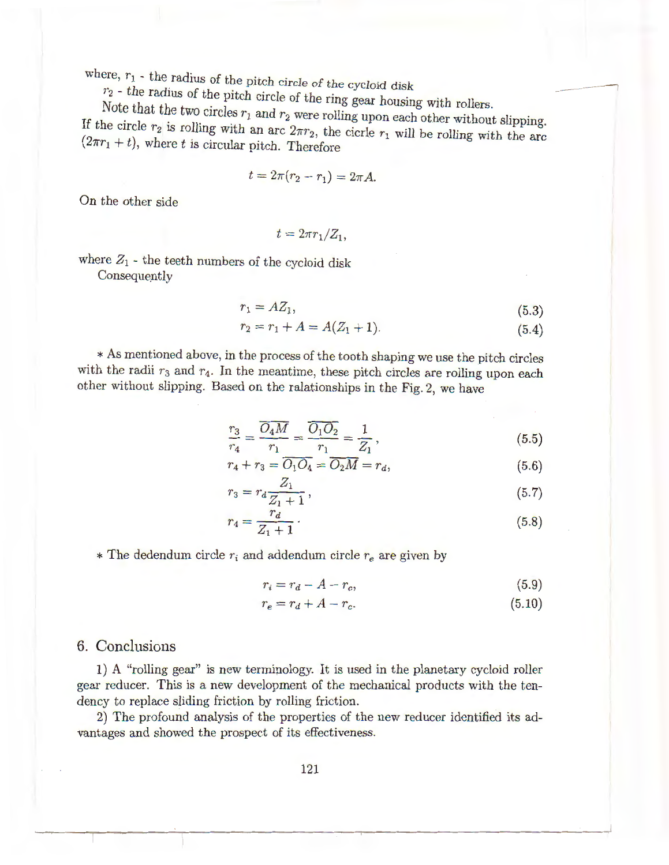where,  $r_1$  - the radius of the pitch circle of the cycloid disk

 $r_2$  - the radius of the pitch circle of the ring gear housing with rollers.

Note that the two circles  $r_1$  and  $r_2$  were rolling upon each other without slipping. If the circle  $r_2$  is rolling with an arc  $2\pi r_2$ , the cicrle  $r_1$  will be rolling with the arc  $(2\pi r_1 + t)$ , where *t* is circular pitch. Therefore

$$
t = 2\pi(r_2 - r_1) = 2\pi A.
$$

On the other side

 $t = 2\pi r_1/Z_1$ ,

where  $Z_1$  - the teeth numbers of the cycloid disk

Consequently

$$
r_1 = AZ_1,\tag{5.3}
$$

--

$$
r_2 = r_1 + A = A(Z_1 + 1). \tag{5.4}
$$

\* As mentioned above, in the process of the tooth shaping we use the pitch circles with the radii  $r_3$  and  $r_4$ . In the meantime, these pitch circles are rolling upon each other without slipping. Based on the ralationships in the Fig. 2, we have

$$
\frac{r_3}{r_4} = \frac{\overline{O_4 M}}{r_1} = \frac{\overline{O_1 O_2}}{r_1} = \frac{1}{Z_1},\tag{5.5}
$$

$$
r_4 + r_3 = \overline{O_1 O_4} = \overline{O_2 M} = r_d, \tag{5.6}
$$

$$
r_3 = r_d \frac{Z_1}{Z_1 + 1},\tag{5.7}
$$

$$
r_4 = \frac{r_d}{Z_1 + 1} \,. \tag{5.8}
$$

 $*$  The dedendum circle  $r_i$  and addendum circle  $r_e$  are given by

$$
r_i = r_d - A - r_c,\tag{5.9}
$$

$$
r_e = r_d + A - r_c. \tag{5.10}
$$

# 6. Conclusions

1) A "rolling gear" is new terminology. It is used in the planetary cycloid roller gear reducer. This is a new development of the mechanical products with the tendency to replace sliding friction by rolling friction.

2) The profound analysis of the properties of the new reducer identified its advantages and showed the prospect of its effectiveness.